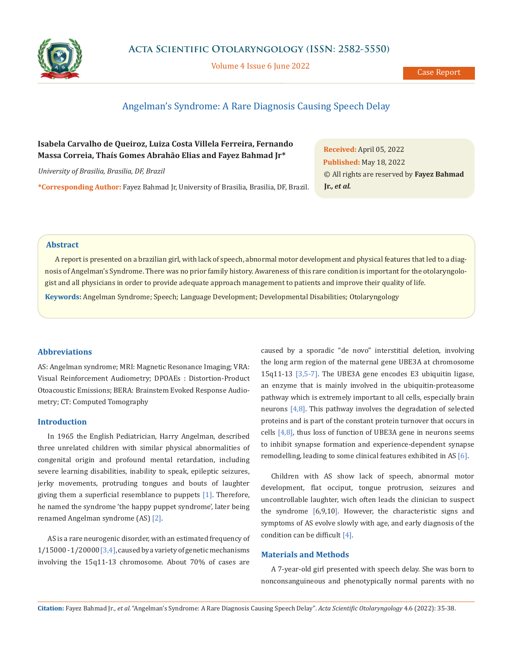

Volume 4 Issue 6 June 2022

# Angelman's Syndrome: A Rare Diagnosis Causing Speech Delay

# **Isabela Carvalho de Queiroz, Luiza Costa Villela Ferreira, Fernando Massa Correia, Thaís Gomes Abrahão Elias and Fayez Bahmad Jr\***

*University of Brasilia, Brasilia, DF, Brazil*

**\*Corresponding Author:** Fayez Bahmad Jr, University of Brasilia, Brasilia, DF, Brazil.

**Received:** April 05, 2022 **Published:** May 18, 2022 © All rights are reserved by **Fayez Bahmad Jr.,** *et al.*

## **Abstract**

A report is presented on a brazilian girl, with lack of speech, abnormal motor development and physical features that led to a diagnosis of Angelman's Syndrome. There was no prior family history. Awareness of this rare condition is important for the otolaryngologist and all physicians in order to provide adequate approach management to patients and improve their quality of life.

**Keywords:** Angelman Syndrome; Speech; Language Development; Developmental Disabilities; Otolaryngology

## **Abbreviations**

AS: Angelman syndrome; MRI: Magnetic Resonance Imaging; VRA: Visual Reinforcement Audiometry; DPOAEs : Distortion-Product Otoacoustic Emissions; BERA: Brainstem Evoked Response Audiometry; CT: Computed Tomography

## **Introduction**

In 1965 the English Pediatrician, Harry Angelman, described three unrelated children with similar physical abnormalities of congenital origin and profound mental retardation, including severe learning disabilities, inability to speak, epileptic seizures, jerky movements, protruding tongues and bouts of laughter giving them a superficial resemblance to puppets [1]. Therefore, he named the syndrome 'the happy puppet syndrome', later being renamed Angelman syndrome (AS) [2].

AS is a rare neurogenic disorder, with an estimated frequency of 1/15000 - 1/20000 [3,4], caused by a variety of genetic mechanisms involving the 15q11-13 chromosome. About 70% of cases are caused by a sporadic "de novo" interstitial deletion, involving the long arm region of the maternal gene UBE3A at chromosome 15q11-13 [3,5-7]. The UBE3A gene encodes E3 ubiquitin ligase, an enzyme that is mainly involved in the ubiquitin-proteasome pathway which is extremely important to all cells, especially brain neurons [4,8]. This pathway involves the degradation of selected proteins and is part of the constant protein turnover that occurs in cells [4,8], thus loss of function of UBE3A gene in neurons seems to inhibit synapse formation and experience-dependent synapse remodelling, leading to some clinical features exhibited in AS [6].

Children with AS show lack of speech, abnormal motor development, flat occiput, tongue protrusion, seizures and uncontrollable laughter, wich often leads the clinician to suspect the syndrome [6,9,10]. However, the characteristic signs and symptoms of AS evolve slowly with age, and early diagnosis of the condition can be difficult [4].

## **Materials and Methods**

A 7-year-old girl presented with speech delay. She was born to nonconsanguineous and phenotypically normal parents with no

**Citation:** Fayez Bahmad Jr*., et al.* "Angelman's Syndrome: A Rare Diagnosis Causing Speech Delay". *Acta Scientific Otolaryngology* 4.6 (2022): 35-38.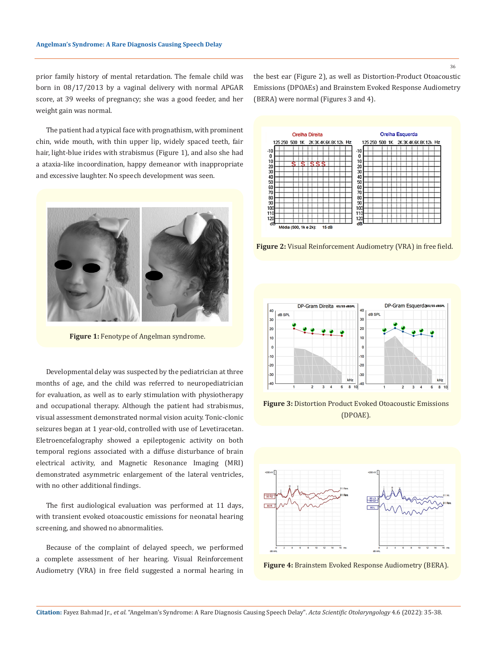prior family history of mental retardation. The female child was born in 08/17/2013 by a vaginal delivery with normal APGAR score, at 39 weeks of pregnancy; she was a good feeder, and her weight gain was normal.

The patient had a typical face with prognathism, with prominent chin, wide mouth, with thin upper lip, widely spaced teeth, fair hair, light-blue irides with strabismus (Figure 1), and also she had a ataxia-like incoordination, happy demeanor with inappropriate and excessive laughter. No speech development was seen.



**Figure 1:** Fenotype of Angelman syndrome.

Developmental delay was suspected by the pediatrician at three months of age, and the child was referred to neuropediatrician for evaluation, as well as to early stimulation with physiotherapy and occupational therapy. Although the patient had strabismus, visual assessment demonstrated normal vision acuity. Tonic-clonic seizures began at 1 year-old, controlled with use of Levetiracetan. Eletroencefalography showed a epileptogenic activity on both temporal regions associated with a diffuse disturbance of brain electrical activity, and Magnetic Resonance Imaging (MRI) demonstrated asymmetric enlargement of the lateral ventricles, with no other additional findings.

The first audiological evaluation was performed at 11 days, with transient evoked otoacoustic emissions for neonatal hearing screening, and showed no abnormalities.

Because of the complaint of delayed speech, we performed a complete assessment of her hearing. Visual Reinforcement Audiometry (VRA) in free field suggested a normal hearing in the best ear (Figure 2), as well as Distortion-Product Otoacoustic Emissions (DPOAEs) and Brainstem Evoked Response Audiometry (BERA) were normal (Figures 3 and 4).



**Figure 2:** Visual Reinforcement Audiometry (VRA) in free field.



**Figure 3:** Distortion Product Evoked Otoacoustic Emissions (DPOAE).





**Citation:** Fayez Bahmad Jr*., et al.* "Angelman's Syndrome: A Rare Diagnosis Causing Speech Delay". *Acta Scientific Otolaryngology* 4.6 (2022): 35-38.

36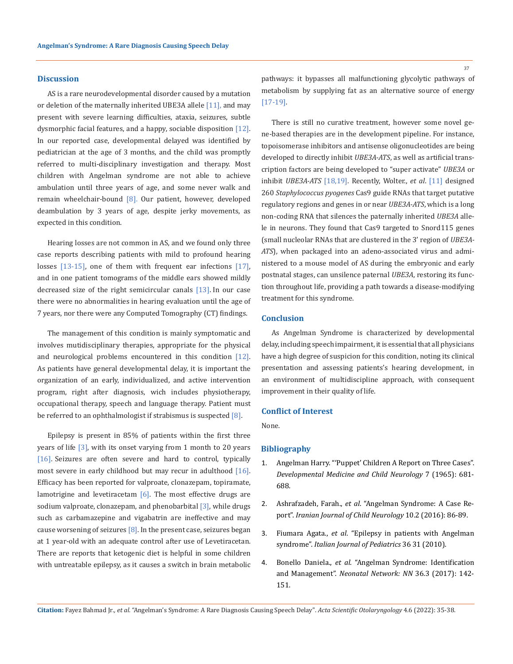### **Discussion**

AS is a rare neurodevelopmental disorder caused by a mutation or deletion of the maternally inherited UBE3A allele [11], and may present with severe learning difficulties, ataxia, seizures, subtle dysmorphic facial features, and a happy, sociable disposition [12]. In our reported case, developmental delayed was identified by pediatrician at the age of 3 months, and the child was promptly referred to multi-disciplinary investigation and therapy. Most children with Angelman syndrome are not able to achieve ambulation until three years of age, and some never walk and remain wheelchair-bound [8]. Our patient, however, developed deambulation by 3 years of age, despite jerky movements, as expected in this condition.

Hearing losses are not common in AS, and we found only three case reports describing patients with mild to profound hearing losses [13-15], one of them with frequent ear infections [17], and in one patient tomograms of the middle ears showed mildly decreased size of the right semicircular canals [13]. In our case there were no abnormalities in hearing evaluation until the age of 7 years, nor there were any Computed Tomography (CT) findings.

The management of this condition is mainly symptomatic and involves mutidisciplinary therapies, appropriate for the physical and neurological problems encountered in this condition [12]. As patients have general developmental delay, it is important the organization of an early, individualized, and active intervention program, right after diagnosis, wich includes physiotherapy, occupational therapy, speech and language therapy. Patient must be referred to an ophthalmologist if strabismus is suspected [8].

Epilepsy is present in 85% of patients within the first three years of life [3], with its onset varying from 1 month to 20 years [16]. Seizures are often severe and hard to control, typically most severe in early childhood but may recur in adulthood [16]. Efficacy has been reported for valproate, clonazepam, topiramate, lamotrigine and levetiracetam  $[6]$ . The most effective drugs are sodium valproate, clonazepam, and phenobarbital [3], while drugs such as carbamazepine and vigabatrin are ineffective and may cause worsening of seizures  $[8]$ . In the present case, seizures began at 1 year-old with an adequate control after use of Levetiracetan. There are reports that ketogenic diet is helpful in some children with untreatable epilepsy, as it causes a switch in brain metabolic pathways: it bypasses all malfunctioning glycolytic pathways of metabolism by supplying fat as an alternative source of energy [17-19].

There is still no curative treatment, however some novel gene-based therapies are in the development pipeline. For instance, topoisomerase inhibitors and antisense oligonucleotides are being developed to directly inhibit *UBE3A-ATS*, as well as artificial transcription factors are being developed to "super activate" *UBE3A* or inhibit *UBE3A-ATS* [18,19]*.* Recently, Wolter., *et al*. [11] designed 260 *Staphylococcus pyogenes* Cas9 guide RNAs that target putative regulatory regions and genes in or near *UBE3A-ATS*, which is a long non-coding RNA that silences the paternally inherited *UBE3A* allele in neurons. They found that Cas9 targeted to Snord115 genes (small nucleolar RNAs that are clustered in the 3' region of *UBE3A-ATS*), when packaged into an adeno-associated virus and administered to a mouse model of AS during the embryonic and early postnatal stages, can unsilence paternal *UBE3A*, restoring its function throughout life, providing a path towards a disease-modifying treatment for this syndrome.

## **Conclusion**

As Angelman Syndrome is characterized by developmental delay, including speech impairment, it is essential that all physicians have a high degree of suspicion for this condition, noting its clinical presentation and assessing patients's hearing development, in an environment of multidiscipline approach, with consequent improvement in their quality of life.

#### **Conflict of Interest**

None.

### **Bibliography**

- 1. [Angelman Harry. "'Puppet' Children A Report on Three Cases".](https://onlinelibrary.wiley.com/doi/abs/10.1111/j.1469-8749.1965.tb07844.x) *[Developmental Medicine and Child Neurology](https://onlinelibrary.wiley.com/doi/abs/10.1111/j.1469-8749.1965.tb07844.x)* 7 (1965): 681- [688.](https://onlinelibrary.wiley.com/doi/abs/10.1111/j.1469-8749.1965.tb07844.x)
- 2. Ashrafzadeh, Farah., *et al*[. "Angelman Syndrome: A Case Re](https://pubmed.ncbi.nlm.nih.gov/27247589/)port". *[Iranian Journal of Child Neurology](https://pubmed.ncbi.nlm.nih.gov/27247589/)* 10.2 (2016): 86-89.
- 3. Fiumara Agata., *et al*[. "Epilepsy in patients with Angelman](https://ijponline.biomedcentral.com/articles/10.1186/1824-7288-36-31) syndrome". *[Italian Journal of Pediatrics](https://ijponline.biomedcentral.com/articles/10.1186/1824-7288-36-31)* 36 31 (2010).
- 4. Bonello Daniela., *et al*[. "Angelman Syndrome: Identification](https://pubmed.ncbi.nlm.nih.gov/28494826/) and Management". *[Neonatal Network: NN](https://pubmed.ncbi.nlm.nih.gov/28494826/)* 36.3 (2017): 142- [151.](https://pubmed.ncbi.nlm.nih.gov/28494826/)